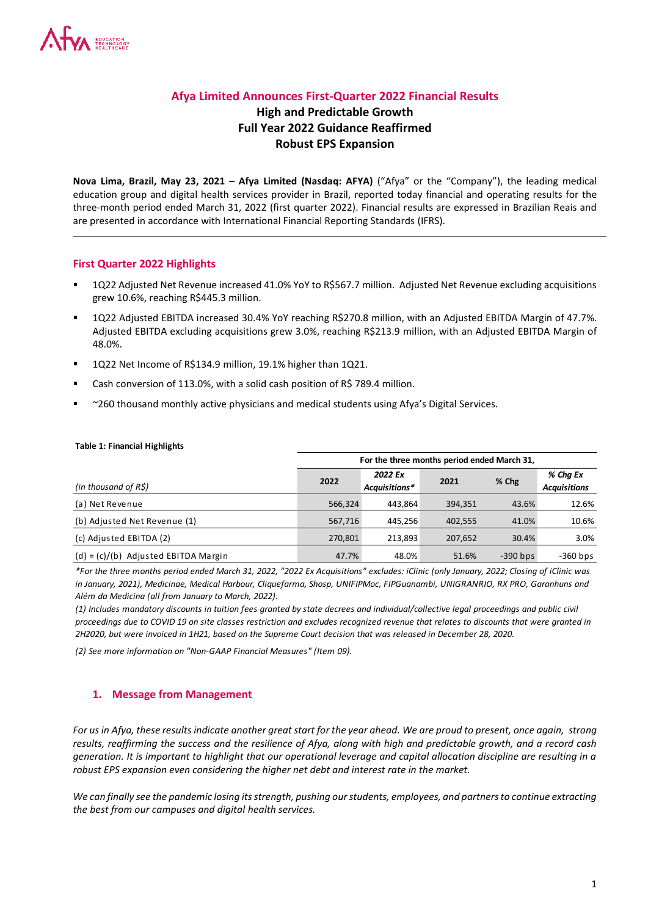# **Afya Limited Announces First-Quarter 2022 Financial Results**

# **High and Predictable Growth Full Year 2022 Guidance Reaffirmed Robust EPS Expansion**

**Nova Lima, Brazil, May 23, 2021 – Afya Limited (Nasdaq: AFYA)** ("Afya" or the "Company"), the leading medical education group and digital health services provider in Brazil, reported today financial and operating results for the three-month period ended March 31, 2022 (first quarter 2022). Financial results are expressed in Brazilian Reais and are presented in accordance with International Financial Reporting Standards (IFRS).

#### **First Quarter 2022 Highlights**

- 1Q22 Adjusted Net Revenue increased 41.0% YoY to R\$567.7 million. Adjusted Net Revenue excluding acquisitions grew 10.6%, reaching R\$445.3 million.
- 1Q22 Adjusted EBITDA increased 30.4% YoY reaching R\$270.8 million, with an Adjusted EBITDA Margin of 47.7%. Adjusted EBITDA excluding acquisitions grew 3.0%, reaching R\$213.9 million, with an Adjusted EBITDA Margin of 48.0%.
- 1Q22 Net Income of R\$134.9 million, 19.1% higher than 1Q21.
- Cash conversion of 113.0%, with a solid cash position of R\$ 789.4 million.
- ~260 thousand monthly active physicians and medical students using Afya's Digital Services.

#### **Table 1: Financial Highlights**

|                                        |         |                          | For the three months period ended March 31, |            |                                 |
|----------------------------------------|---------|--------------------------|---------------------------------------------|------------|---------------------------------|
| (in thousand of $R\hat{S}$ )           | 2022    | 2022 Ex<br>Acquisitions* | 2021                                        | % Chg      | % Cha Ex<br><b>Acquisitions</b> |
| (a) Net Revenue                        | 566.324 | 443.864                  | 394.351                                     | 43.6%      | 12.6%                           |
| (b) Adjusted Net Revenue (1)           | 567,716 | 445.256                  | 402.555                                     | 41.0%      | 10.6%                           |
| (c) Adjusted EBITDA (2)                | 270,801 | 213.893                  | 207.652                                     | 30.4%      | 3.0%                            |
| $(d) = (c)/(b)$ Adjusted EBITDA Margin | 47.7%   | 48.0%                    | 51.6%                                       | $-390$ bps | $-360$ bps                      |

*\*For the three months period ended March 31, 2022, "2022 Ex Acquisitions" excludes: iClinic (only January, 2022; Closing of iClinic was in January, 2021), Medicinae, Medical Harbour, Cliquefarma, Shosp, UNIFIPMoc, FIPGuanambi, UNIGRANRIO, RX PRO, Garanhuns and Além da Medicina (all from January to March, 2022).*

*(1) Includes mandatory discounts in tuition fees granted by state decrees and individual/collective legal proceedings and public civil proceedings due to COVID 19 on site classes restriction and excludes recognized revenue that relates to discounts that were granted in 2H2020, but were invoiced in 1H21, based on the Supreme Court decision that was released in December 28, 2020.* 

*(2) See more information on "Non-GAAP Financial Measures" (Item 09).*

## **1. Message from Management**

*For us in Afya, these results indicate another great start for the year ahead. We are proud to present, once again, strong results, reaffirming the success and the resilience of Afya, along with high and predictable growth, and a record cash generation. It is important to highlight that our operational leverage and capital allocation discipline are resulting in a robust EPS expansion even considering the higher net debt and interest rate in the market.* 

*We can finally see the pandemic losing its strength, pushing our students, employees, and partners to continue extracting the best from our campuses and digital health services.*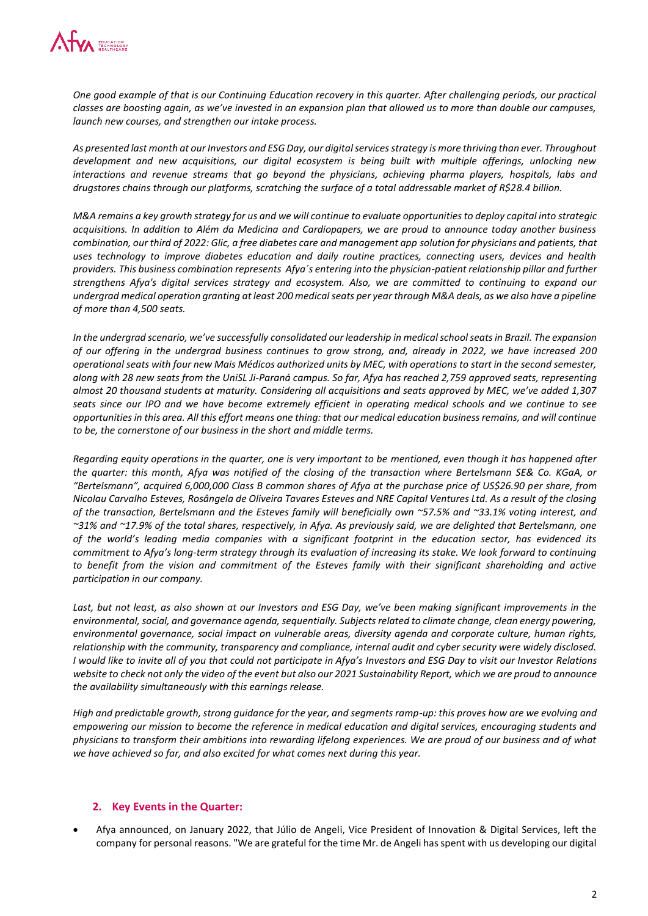

*One good example of that is our Continuing Education recovery in this quarter. After challenging periods, our practical classes are boosting again, as we've invested in an expansion plan that allowed us to more than double our campuses, launch new courses, and strengthen our intake process.* 

*As presented last month at our Investors and ESG Day, our digital services strategy is more thriving than ever. Throughout development and new acquisitions, our digital ecosystem is being built with multiple offerings, unlocking new interactions and revenue streams that go beyond the physicians, achieving pharma players, hospitals, labs and drugstores chains through our platforms, scratching the surface of a total addressable market of R\$28.4 billion.* 

*M&A remains a key growth strategy for us and we will continue to evaluate opportunities to deploy capital into strategic acquisitions. In addition to Além da Medicina and Cardiopapers, we are proud to announce today another business combination, our third of 2022: Glic, a free diabetes care and management app solution for physicians and patients, that uses technology to improve diabetes education and daily routine practices, connecting users, devices and health providers. This business combination represents Afya´s entering into the physician-patient relationship pillar and further strengthens Afya's digital services strategy and ecosystem. Also, we are committed to continuing to expand our undergrad medical operation granting at least 200 medical seats per year through M&A deals, as we also have a pipeline of more than 4,500 seats.*

*In the undergrad scenario, we've successfully consolidated our leadership in medical school seats in Brazil. The expansion of our offering in the undergrad business continues to grow strong, and, already in 2022, we have increased 200 operational seats with four new Mais Médicos authorized units by MEC, with operations to start in the second semester, along with 28 new seats from the UniSL Ji-Paraná campus. So far, Afya has reached 2,759 approved seats, representing almost 20 thousand students at maturity. Considering all acquisitions and seats approved by MEC, we've added 1,307 seats since our IPO and we have become extremely efficient in operating medical schools and we continue to see opportunities in this area. All this effort means one thing: that our medical education business remains, and will continue to be, the cornerstone of our business in the short and middle terms.*

*Regarding equity operations in the quarter, one is very important to be mentioned, even though it has happened after the quarter: this month, Afya was notified of the closing of the transaction where Bertelsmann SE& Co. KGaA, or "Bertelsmann", acquired 6,000,000 Class B common shares of Afya at the purchase price of US\$26.90 per share, from Nicolau Carvalho Esteves, Rosângela de Oliveira Tavares Esteves and NRE Capital Ventures Ltd. As a result of the closing of the transaction, Bertelsmann and the Esteves family will beneficially own ~57.5% and ~33.1% voting interest, and ~31% and ~17.9% of the total shares, respectively, in Afya. As previously said, we are delighted that Bertelsmann, one of the world's leading media companies with a significant footprint in the education sector, has evidenced its commitment to Afya's long-term strategy through its evaluation of increasing its stake. We look forward to continuing*  to benefit from the vision and commitment of the Esteves family with their significant shareholding and active *participation in our company.*

*Last, but not least, as also shown at our Investors and ESG Day, we've been making significant improvements in the environmental, social, and governance agenda, sequentially. Subjects related to climate change, clean energy powering, environmental governance, social impact on vulnerable areas, diversity agenda and corporate culture, human rights, relationship with the community, transparency and compliance, internal audit and cyber security were widely disclosed. I would like to invite all of you that could not participate in Afya's Investors and ESG Day to visit our Investor Relations website to check not only the video of the event but also our 2021 Sustainability Report, which we are proud to announce the availability simultaneously with this earnings release.*

*High and predictable growth, strong guidance for the year, and segments ramp-up: this proves how are we evolving and empowering our mission to become the reference in medical education and digital services, encouraging students and physicians to transform their ambitions into rewarding lifelong experiences. We are proud of our business and of what we have achieved so far, and also excited for what comes next during this year.* 

#### **2. Key Events in the Quarter:**

 Afya announced, on January 2022, that Júlio de Angeli, Vice President of Innovation & Digital Services, left the company for personal reasons. "We are grateful for the time Mr. de Angeli has spent with us developing our digital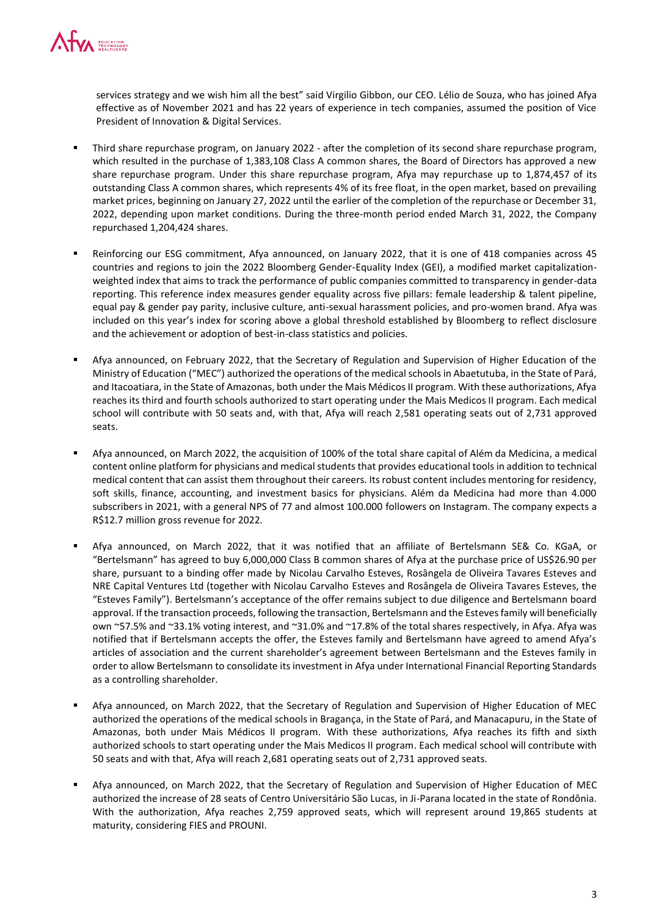

services strategy and we wish him all the best" said Virgilio Gibbon, our CEO. Lélio de Souza, who has joined Afya effective as of November 2021 and has 22 years of experience in tech companies, assumed the position of Vice President of Innovation & Digital Services.

- Third share repurchase program, on January 2022 after the completion of its second share repurchase program, which resulted in the purchase of 1,383,108 Class A common shares, the Board of Directors has approved a new share repurchase program. Under this share repurchase program, Afya may repurchase up to 1,874,457 of its outstanding Class A common shares, which represents 4% of its free float, in the open market, based on prevailing market prices, beginning on January 27, 2022 until the earlier of the completion of the repurchase or December 31, 2022, depending upon market conditions. During the three-month period ended March 31, 2022, the Company repurchased 1,204,424 shares.
- Reinforcing our ESG commitment, Afya announced, on January 2022, that it is one of 418 companies across 45 countries and regions to join the 2022 Bloomberg Gender-Equality Index (GEI), a modified market capitalizationweighted index that aims to track the performance of public companies committed to transparency in gender-data reporting. This reference index measures gender equality across five pillars: female leadership & talent pipeline, equal pay & gender pay parity, inclusive culture, anti-sexual harassment policies, and pro-women brand. Afya was included on this year's index for scoring above a global threshold established by Bloomberg to reflect disclosure and the achievement or adoption of best-in-class statistics and policies.
- Afya announced, on February 2022, that the Secretary of Regulation and Supervision of Higher Education of the Ministry of Education ("MEC") authorized the operations of the medical schools in Abaetutuba, in the State of Pará, and Itacoatiara, in the State of Amazonas, both under the Mais Médicos II program. With these authorizations, Afya reaches its third and fourth schools authorized to start operating under the Mais Medicos II program. Each medical school will contribute with 50 seats and, with that, Afya will reach 2,581 operating seats out of 2,731 approved seats.
- Afya announced, on March 2022, the acquisition of 100% of the total share capital of Além da Medicina, a medical content online platform for physicians and medical students that provides educational tools in addition to technical medical content that can assist them throughout their careers. Its robust content includes mentoring for residency, soft skills, finance, accounting, and investment basics for physicians. Além da Medicina had more than 4.000 subscribers in 2021, with a general NPS of 77 and almost 100.000 followers on Instagram. The company expects a R\$12.7 million gross revenue for 2022.
- Afya announced, on March 2022, that it was notified that an affiliate of Bertelsmann SE& Co. KGaA, or "Bertelsmann" has agreed to buy 6,000,000 Class B common shares of Afya at the purchase price of US\$26.90 per share, pursuant to a binding offer made by Nicolau Carvalho Esteves, Rosângela de Oliveira Tavares Esteves and NRE Capital Ventures Ltd (together with Nicolau Carvalho Esteves and Rosângela de Oliveira Tavares Esteves, the "Esteves Family"). Bertelsmann's acceptance of the offer remains subject to due diligence and Bertelsmann board approval. If the transaction proceeds, following the transaction, Bertelsmann and the Esteves family will beneficially own ~57.5% and ~33.1% voting interest, and ~31.0% and ~17.8% of the total shares respectively, in Afya. Afya was notified that if Bertelsmann accepts the offer, the Esteves family and Bertelsmann have agreed to amend Afya's articles of association and the current shareholder's agreement between Bertelsmann and the Esteves family in order to allow Bertelsmann to consolidate its investment in Afya under International Financial Reporting Standards as a controlling shareholder.
- Afya announced, on March 2022, that the Secretary of Regulation and Supervision of Higher Education of MEC authorized the operations of the medical schools in Bragança, in the State of Pará, and Manacapuru, in the State of Amazonas, both under Mais Médicos II program. With these authorizations, Afya reaches its fifth and sixth authorized schools to start operating under the Mais Medicos II program. Each medical school will contribute with 50 seats and with that, Afya will reach 2,681 operating seats out of 2,731 approved seats.
- Afya announced, on March 2022, that the Secretary of Regulation and Supervision of Higher Education of MEC authorized the increase of 28 seats of Centro Universitário São Lucas, in Ji-Parana located in the state of Rondônia. With the authorization, Afya reaches 2,759 approved seats, which will represent around 19,865 students at maturity, considering FIES and PROUNI.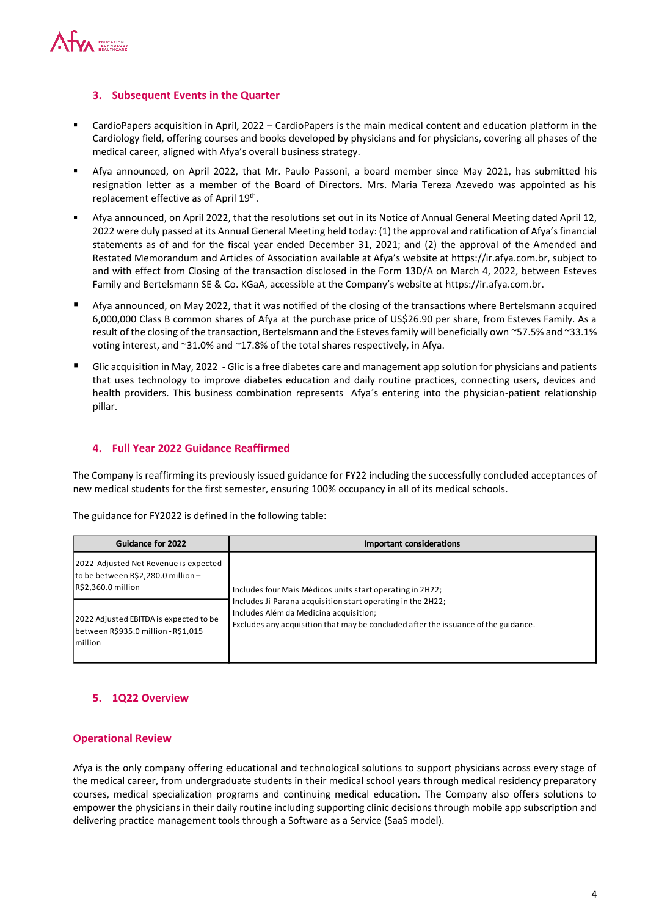

## **3. Subsequent Events in the Quarter**

- CardioPapers acquisition in April, 2022 CardioPapers is the main medical content and education platform in the Cardiology field, offering courses and books developed by physicians and for physicians, covering all phases of the medical career, aligned with Afya's overall business strategy.
- Afya announced, on April 2022, that Mr. Paulo Passoni, a board member since May 2021, has submitted his resignation letter as a member of the Board of Directors. Mrs. Maria Tereza Azevedo was appointed as his replacement effective as of April 19<sup>th</sup>.
- Afya announced, on April 2022, that the resolutions set out in its Notice of Annual General Meeting dated April 12, 2022 were duly passed at its Annual General Meeting held today: (1) the approval and ratification of Afya's financial statements as of and for the fiscal year ended December 31, 2021; and (2) the approval of the Amended and Restated Memorandum and Articles of Association available at Afya's website at https://ir.afya.com.br, subject to and with effect from Closing of the transaction disclosed in the Form 13D/A on March 4, 2022, between Esteves Family and Bertelsmann SE & Co. KGaA, accessible at the Company's website at https://ir.afya.com.br.
- Afya announced, on May 2022, that it was notified of the closing of the transactions where Bertelsmann acquired 6,000,000 Class B common shares of Afya at the purchase price of US\$26.90 per share, from Esteves Family. As a result of the closing of the transaction, Bertelsmann and the Esteves family will beneficially own ~57.5% and ~33.1% voting interest, and ~31.0% and ~17.8% of the total shares respectively, in Afya.
- **Glic acquisition in May, 2022 Glic is a free diabetes care and management app solution for physicians and patients** that uses technology to improve diabetes education and daily routine practices, connecting users, devices and health providers. This business combination represents Afya´s entering into the physician-patient relationship pillar.

## **4. Full Year 2022 Guidance Reaffirmed**

The Company is reaffirming its previously issued guidance for FY22 including the successfully concluded acceptances of new medical students for the first semester, ensuring 100% occupancy in all of its medical schools.

The guidance for FY2022 is defined in the following table:

| Guidance for 2022                                                                                 | Important considerations                                                                                                                                                                    |
|---------------------------------------------------------------------------------------------------|---------------------------------------------------------------------------------------------------------------------------------------------------------------------------------------------|
| 2022 Adjusted Net Revenue is expected<br>to be between R\$2,280.0 million -<br>R\$2,360.0 million | Includes four Mais Médicos units start operating in 2H22;                                                                                                                                   |
| 2022 Adjusted EBITDA is expected to be<br>between R\$935.0 million - R\$1,015<br>Imillion         | Includes Ji-Parana acquisition start operating in the 2H22;<br>Includes Além da Medicina acquisition;<br>Excludes any acquisition that may be concluded after the issuance of the guidance. |

## **5. 1Q22 Overview**

#### **Operational Review**

Afya is the only company offering educational and technological solutions to support physicians across every stage of the medical career, from undergraduate students in their medical school years through medical residency preparatory courses, medical specialization programs and continuing medical education. The Company also offers solutions to empower the physicians in their daily routine including supporting clinic decisions through mobile app subscription and delivering practice management tools through a Software as a Service (SaaS model).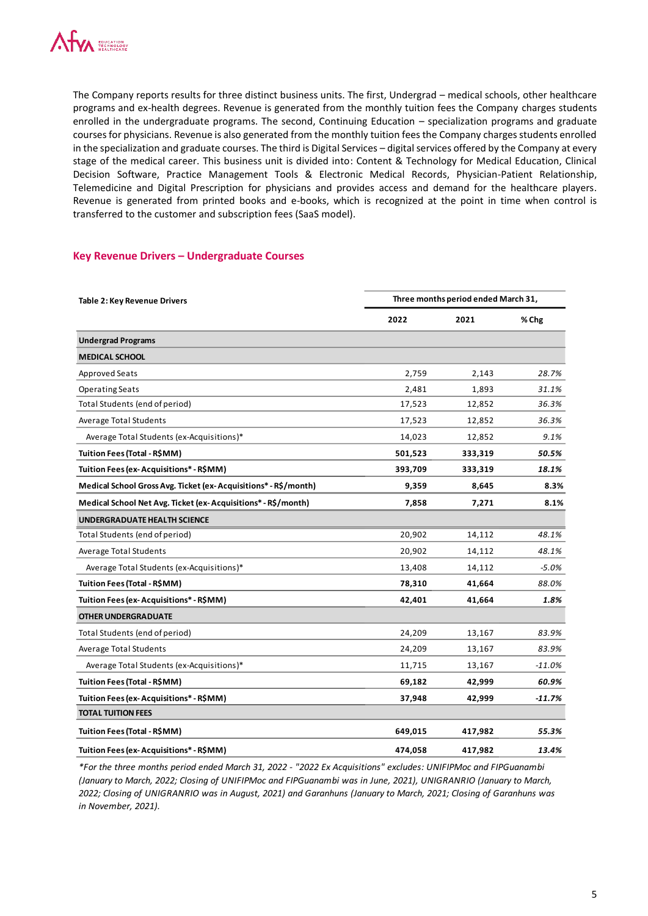

The Company reports results for three distinct business units. The first, Undergrad – medical schools, other healthcare programs and ex-health degrees. Revenue is generated from the monthly tuition fees the Company charges students enrolled in the undergraduate programs. The second, Continuing Education – specialization programs and graduate courses for physicians. Revenue is also generated from the monthly tuition fees the Company charges students enrolled in the specialization and graduate courses. The third is Digital Services – digital services offered by the Company at every stage of the medical career. This business unit is divided into: Content & Technology for Medical Education, Clinical Decision Software, Practice Management Tools & Electronic Medical Records, Physician-Patient Relationship, Telemedicine and Digital Prescription for physicians and provides access and demand for the healthcare players. Revenue is generated from printed books and e-books, which is recognized at the point in time when control is transferred to the customer and subscription fees (SaaS model).

#### **Key Revenue Drivers – Undergraduate Courses**

| <b>Table 2: Key Revenue Drivers</b>                             |         | Three months period ended March 31, |          |
|-----------------------------------------------------------------|---------|-------------------------------------|----------|
|                                                                 | 2022    | 2021                                | % Chg    |
| <b>Undergrad Programs</b>                                       |         |                                     |          |
| <b>MEDICAL SCHOOL</b>                                           |         |                                     |          |
| <b>Approved Seats</b>                                           | 2,759   | 2,143                               | 28.7%    |
| <b>Operating Seats</b>                                          | 2,481   | 1,893                               | 31.1%    |
| Total Students (end of period)                                  | 17,523  | 12,852                              | 36.3%    |
| <b>Average Total Students</b>                                   | 17,523  | 12,852                              | 36.3%    |
| Average Total Students (ex-Acquisitions)*                       | 14,023  | 12,852                              | 9.1%     |
| Tuition Fees (Total - R\$MM)                                    | 501,523 | 333,319                             | 50.5%    |
| Tuition Fees (ex-Acquisitions* - R\$MM)                         | 393,709 | 333,319                             | 18.1%    |
| Medical School Gross Avg. Ticket (ex-Acquisitions* - R\$/month) | 9,359   | 8,645                               | 8.3%     |
| Medical School Net Avg. Ticket (ex-Acquisitions* - R\$/month)   | 7,858   | 7,271                               | 8.1%     |
| UNDERGRADUATE HEALTH SCIENCE                                    |         |                                     |          |
| Total Students (end of period)                                  | 20,902  | 14,112                              | 48.1%    |
| <b>Average Total Students</b>                                   | 20,902  | 14,112                              | 48.1%    |
| Average Total Students (ex-Acquisitions)*                       | 13,408  | 14,112                              | $-5.0%$  |
| Tuition Fees (Total - R\$MM)                                    | 78,310  | 41,664                              | 88.0%    |
| Tuition Fees (ex-Acquisitions* - R\$MM)                         | 42,401  | 41,664                              | 1.8%     |
| <b>OTHER UNDERGRADUATE</b>                                      |         |                                     |          |
| Total Students (end of period)                                  | 24,209  | 13,167                              | 83.9%    |
| <b>Average Total Students</b>                                   | 24,209  | 13,167                              | 83.9%    |
| Average Total Students (ex-Acquisitions)*                       | 11,715  | 13,167                              | $-11.0%$ |
| Tuition Fees (Total - R\$MM)                                    | 69,182  | 42,999                              | 60.9%    |
| Tuition Fees (ex-Acquisitions* - R\$MM)                         | 37,948  | 42,999                              | $-11.7%$ |
| <b>TOTAL TUITION FEES</b>                                       |         |                                     |          |
| Tuition Fees (Total - R\$MM)                                    | 649,015 | 417,982                             | 55.3%    |
| Tuition Fees (ex-Acquisitions* - R\$MM)                         | 474,058 | 417,982                             | 13.4%    |

*\*For the three months period ended March 31, 2022 - "2022 Ex Acquisitions" excludes: UNIFIPMoc and FIPGuanambi (January to March, 2022; Closing of UNIFIPMoc and FIPGuanambi was in June, 2021), UNIGRANRIO (January to March, 2022; Closing of UNIGRANRIO was in August, 2021) and Garanhuns (January to March, 2021; Closing of Garanhuns was in November, 2021).*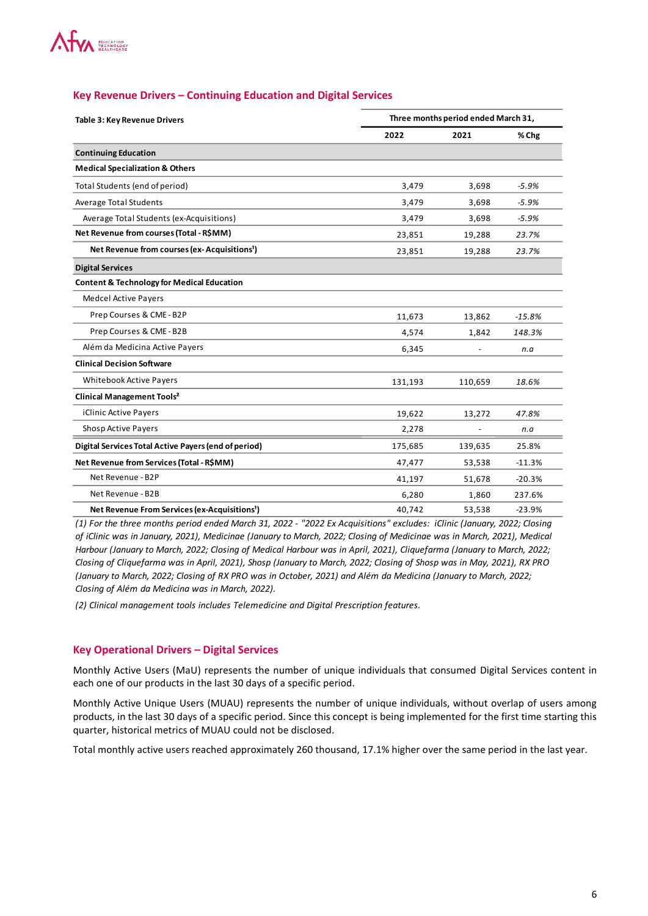

| Table 3: Key Revenue Drivers                              |         | Three months period ended March 31, |          |
|-----------------------------------------------------------|---------|-------------------------------------|----------|
|                                                           | 2022    | 2021                                | % Chg    |
| <b>Continuing Education</b>                               |         |                                     |          |
| <b>Medical Specialization &amp; Others</b>                |         |                                     |          |
| Total Students (end of period)                            | 3,479   | 3,698                               | $-5.9%$  |
| <b>Average Total Students</b>                             | 3,479   | 3,698                               | $-5.9%$  |
| Average Total Students (ex-Acquisitions)                  | 3,479   | 3,698                               | $-5.9%$  |
| Net Revenue from courses (Total - R\$MM)                  | 23,851  | 19,288                              | 23.7%    |
| Net Revenue from courses (ex-Acquisitions <sup>1</sup> )  | 23,851  | 19,288                              | 23.7%    |
| <b>Digital Services</b>                                   |         |                                     |          |
| <b>Content &amp; Technology for Medical Education</b>     |         |                                     |          |
| <b>Medcel Active Payers</b>                               |         |                                     |          |
| Prep Courses & CME-B2P                                    | 11,673  | 13,862                              | $-15.8%$ |
| Prep Courses & CME-B2B                                    | 4,574   | 1,842                               | 148.3%   |
| Além da Medicina Active Payers                            | 6,345   |                                     | n.a      |
| <b>Clinical Decision Software</b>                         |         |                                     |          |
| <b>Whitebook Active Payers</b>                            | 131,193 | 110,659                             | 18.6%    |
| <b>Clinical Management Tools<sup>2</sup></b>              |         |                                     |          |
| iClinic Active Payers                                     | 19,622  | 13,272                              | 47.8%    |
| <b>Shosp Active Payers</b>                                | 2,278   |                                     | n.a      |
| Digital Services Total Active Payers (end of period)      | 175,685 | 139,635                             | 25.8%    |
| Net Revenue from Services (Total - R\$MM)                 | 47,477  | 53,538                              | $-11.3%$ |
| Net Revenue - B2P                                         | 41,197  | 51,678                              | $-20.3%$ |
| Net Revenue - B2B                                         | 6,280   | 1,860                               | 237.6%   |
| Net Revenue From Services (ex-Acquisitions <sup>1</sup> ) | 40,742  | 53,538                              | $-23.9%$ |

#### **Key Revenue Drivers – Continuing Education and Digital Services**

*(1) For the three months period ended March 31, 2022 - "2022 Ex Acquisitions" excludes: iClinic (January, 2022; Closing of iClinic was in January, 2021), Medicinae (January to March, 2022; Closing of Medicinae was in March, 2021), Medical Harbour (January to March, 2022; Closing of Medical Harbour was in April, 2021), Cliquefarma (January to March, 2022; Closing of Cliquefarma was in April, 2021), Shosp (January to March, 2022; Closing of Shosp was in May, 2021), RX PRO (January to March, 2022; Closing of RX PRO was in October, 2021) and Além da Medicina (January to March, 2022; Closing of Além da Medicina was in March, 2022).*

*(2) Clinical management tools includes Telemedicine and Digital Prescription features.* 

#### **Key Operational Drivers – Digital Services**

Monthly Active Users (MaU) represents the number of unique individuals that consumed Digital Services content in each one of our products in the last 30 days of a specific period.

Monthly Active Unique Users (MUAU) represents the number of unique individuals, without overlap of users among products, in the last 30 days of a specific period. Since this concept is being implemented for the first time starting this quarter, historical metrics of MUAU could not be disclosed.

Total monthly active users reached approximately 260 thousand, 17.1% higher over the same period in the last year.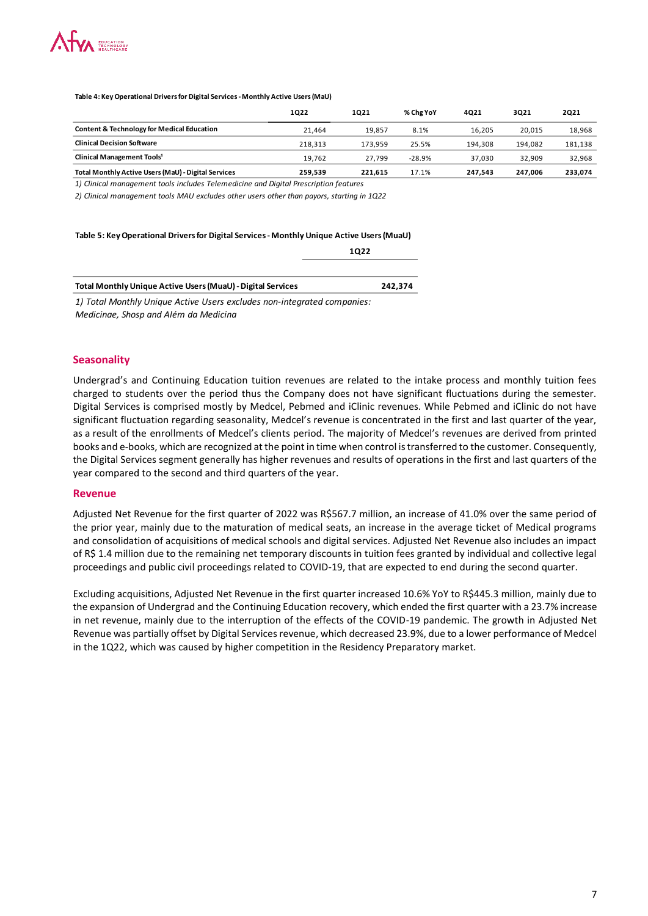

**Table 4: Key Operational Drivers for Digital Services - Monthly Active Users (MaU)**

|                                                       | 1022    | 1021    | % Chg YoY | 4021    | 3021    | <b>2Q21</b> |
|-------------------------------------------------------|---------|---------|-----------|---------|---------|-------------|
| <b>Content &amp; Technology for Medical Education</b> | 21.464  | 19.857  | 8.1%      | 16.205  | 20.015  | 18,968      |
| <b>Clinical Decision Software</b>                     | 218.313 | 173.959 | 25.5%     | 194.308 | 194.082 | 181,138     |
| Clinical Management Tools <sup>1</sup>                | 19.762  | 27.799  | $-28.9%$  | 37.030  | 32.909  | 32.968      |
| Total Monthly Active Users (MaU) - Digital Services   | 259,539 | 221.615 | 17.1%     | 247.543 | 247.006 | 233.074     |

*1) Clinical management tools includes Telemedicine and Digital Prescription features*

*2) Clinical management tools MAU excludes other users other than payors, starting in 1Q22*

#### **Table 5: Key Operational Drivers for Digital Services - Monthly Unique Active Users (MuaU)**

| 1022                                                                    |         |
|-------------------------------------------------------------------------|---------|
| Total Monthly Unique Active Users (MuaU) - Digital Services             | 242.374 |
| 1) Total Monthly Unique Active Users excludes non-integrated companies: |         |
| Medicinae, Shosp and Além da Medicina                                   |         |

#### **Seasonality**

Undergrad's and Continuing Education tuition revenues are related to the intake process and monthly tuition fees charged to students over the period thus the Company does not have significant fluctuations during the semester. Digital Services is comprised mostly by Medcel, Pebmed and iClinic revenues. While Pebmed and iClinic do not have significant fluctuation regarding seasonality, Medcel's revenue is concentrated in the first and last quarter of the year, as a result of the enrollments of Medcel's clients period. The majority of Medcel's revenues are derived from printed books and e-books, which are recognized at the point in time when control is transferred to the customer. Consequently, the Digital Services segment generally has higher revenues and results of operations in the first and last quarters of the year compared to the second and third quarters of the year.

#### **Revenue**

Adjusted Net Revenue for the first quarter of 2022 was R\$567.7 million, an increase of 41.0% over the same period of the prior year, mainly due to the maturation of medical seats, an increase in the average ticket of Medical programs and consolidation of acquisitions of medical schools and digital services. Adjusted Net Revenue also includes an impact of R\$ 1.4 million due to the remaining net temporary discounts in tuition fees granted by individual and collective legal proceedings and public civil proceedings related to COVID-19, that are expected to end during the second quarter.

Excluding acquisitions, Adjusted Net Revenue in the first quarter increased 10.6% YoY to R\$445.3 million, mainly due to the expansion of Undergrad and the Continuing Education recovery, which ended the first quarter with a 23.7% increase in net revenue, mainly due to the interruption of the effects of the COVID-19 pandemic. The growth in Adjusted Net Revenue was partially offset by Digital Services revenue, which decreased 23.9%, due to a lower performance of Medcel in the 1Q22, which was caused by higher competition in the Residency Preparatory market.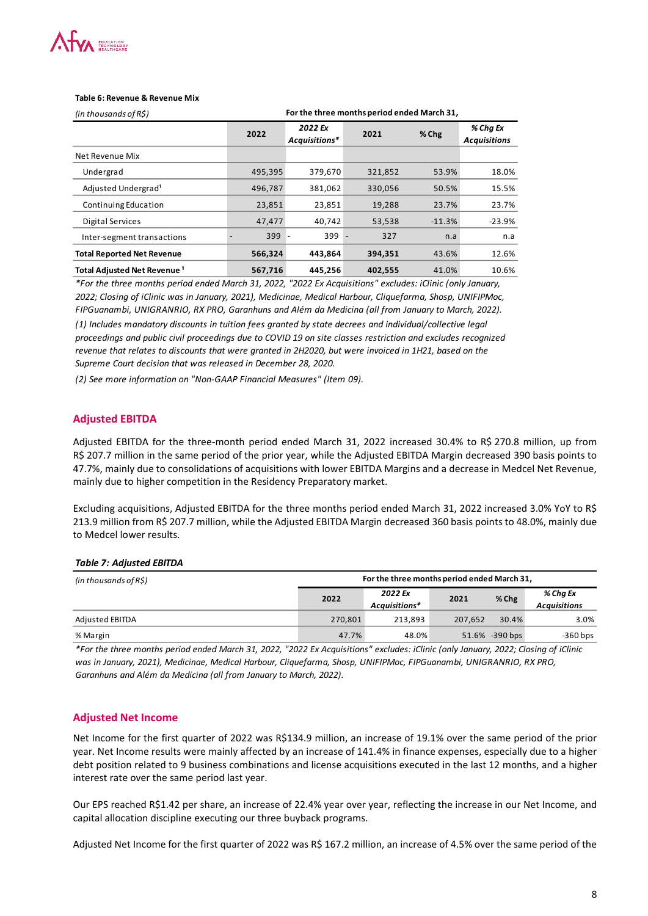| 2022 Ex<br>2022<br>Acquisitions*<br>Net Revenue Mix<br>Undergrad<br>495,395<br>379,670<br>Adjusted Undergrad <sup>1</sup><br>496,787<br>381,062<br>Continuing Education<br>23,851<br>23,851<br>47,477<br>Digital Services<br>40,742<br>399<br>Inter-segment transactions<br><b>Total Reported Net Revenue</b><br>566,324<br>443,864<br>Total Adjusted Net Revenue <sup>1</sup><br>567,716<br>445,256<br>*For the three months period ended March 31, 2022, "2022 Ex Acquisitions" excludes: iClinic (only January,<br>2022; Closing of iClinic was in January, 2021), Medicinae, Medical Harbour, Cliquefarma, Shosp, UNIFIPMoc,<br>FIPGuanambi, UNIGRANRIO, RX PRO, Garanhuns and Além da Medicina (all from January to March, 2022).<br>(1) Includes mandatory discounts in tuition fees granted by state decrees and individual/collective legal<br>proceedings and public civil proceedings due to COVID 19 on site classes restriction and excludes recognized<br>revenue that relates to discounts that were granted in 2H2020, but were invoiced in 1H21, based on the<br>Supreme Court decision that was released in December 28, 2020.<br>(2) See more information on "Non-GAAP Financial Measures" (Item 09).<br><b>Adjusted EBITDA</b><br>Adjusted EBITDA for the three-month period ended March 31, 2022 increased 30.4% to R\$ 270.8 million, up from<br>R\$ 207.7 million in the same period of the prior year, while the Adjusted EBITDA Margin decreased 390 basis points to<br>47.7%, mainly due to consolidations of acquisitions with lower EBITDA Margins and a decrease in Medcel Net Revenue,<br>mainly due to higher competition in the Residency Preparatory market.<br>Excluding acquisitions, Adjusted EBITDA for the three months period ended March 31, 2022 increased 3.0% YoY to R\$<br>213.9 million from R\$ 207.7 million, while the Adjusted EBITDA Margin decreased 360 basis points to 48.0%, mainly due<br>to Medcel lower results.<br><b>Table 7: Adjusted EBITDA</b><br>(in thousands of R\$)<br>Adjusted EBITDA | 399 -   | 2021<br>321,852<br>330,056<br>19,288<br>53,538<br>327<br>394,351 | % Chg<br>53.9%<br>50.5%<br>23.7%<br>$-11.3%$<br>n.a<br>43.6% | % Chg Ex<br><b>Acquisitions</b> | 18.0%<br>15.5%<br>23.7%<br>-23.9% |                                 |
|---------------------------------------------------------------------------------------------------------------------------------------------------------------------------------------------------------------------------------------------------------------------------------------------------------------------------------------------------------------------------------------------------------------------------------------------------------------------------------------------------------------------------------------------------------------------------------------------------------------------------------------------------------------------------------------------------------------------------------------------------------------------------------------------------------------------------------------------------------------------------------------------------------------------------------------------------------------------------------------------------------------------------------------------------------------------------------------------------------------------------------------------------------------------------------------------------------------------------------------------------------------------------------------------------------------------------------------------------------------------------------------------------------------------------------------------------------------------------------------------------------------------------------------------------------------------------------------------------------------------------------------------------------------------------------------------------------------------------------------------------------------------------------------------------------------------------------------------------------------------------------------------------------------------------------------------------------------------------------------------------------------------------------------------------------|---------|------------------------------------------------------------------|--------------------------------------------------------------|---------------------------------|-----------------------------------|---------------------------------|
|                                                                                                                                                                                                                                                                                                                                                                                                                                                                                                                                                                                                                                                                                                                                                                                                                                                                                                                                                                                                                                                                                                                                                                                                                                                                                                                                                                                                                                                                                                                                                                                                                                                                                                                                                                                                                                                                                                                                                                                                                                                         |         |                                                                  |                                                              |                                 |                                   |                                 |
|                                                                                                                                                                                                                                                                                                                                                                                                                                                                                                                                                                                                                                                                                                                                                                                                                                                                                                                                                                                                                                                                                                                                                                                                                                                                                                                                                                                                                                                                                                                                                                                                                                                                                                                                                                                                                                                                                                                                                                                                                                                         |         |                                                                  |                                                              |                                 |                                   |                                 |
|                                                                                                                                                                                                                                                                                                                                                                                                                                                                                                                                                                                                                                                                                                                                                                                                                                                                                                                                                                                                                                                                                                                                                                                                                                                                                                                                                                                                                                                                                                                                                                                                                                                                                                                                                                                                                                                                                                                                                                                                                                                         |         |                                                                  |                                                              |                                 |                                   |                                 |
|                                                                                                                                                                                                                                                                                                                                                                                                                                                                                                                                                                                                                                                                                                                                                                                                                                                                                                                                                                                                                                                                                                                                                                                                                                                                                                                                                                                                                                                                                                                                                                                                                                                                                                                                                                                                                                                                                                                                                                                                                                                         |         |                                                                  |                                                              |                                 |                                   |                                 |
|                                                                                                                                                                                                                                                                                                                                                                                                                                                                                                                                                                                                                                                                                                                                                                                                                                                                                                                                                                                                                                                                                                                                                                                                                                                                                                                                                                                                                                                                                                                                                                                                                                                                                                                                                                                                                                                                                                                                                                                                                                                         |         |                                                                  |                                                              |                                 |                                   |                                 |
|                                                                                                                                                                                                                                                                                                                                                                                                                                                                                                                                                                                                                                                                                                                                                                                                                                                                                                                                                                                                                                                                                                                                                                                                                                                                                                                                                                                                                                                                                                                                                                                                                                                                                                                                                                                                                                                                                                                                                                                                                                                         |         |                                                                  |                                                              |                                 |                                   |                                 |
|                                                                                                                                                                                                                                                                                                                                                                                                                                                                                                                                                                                                                                                                                                                                                                                                                                                                                                                                                                                                                                                                                                                                                                                                                                                                                                                                                                                                                                                                                                                                                                                                                                                                                                                                                                                                                                                                                                                                                                                                                                                         |         |                                                                  |                                                              |                                 | n.a                               |                                 |
|                                                                                                                                                                                                                                                                                                                                                                                                                                                                                                                                                                                                                                                                                                                                                                                                                                                                                                                                                                                                                                                                                                                                                                                                                                                                                                                                                                                                                                                                                                                                                                                                                                                                                                                                                                                                                                                                                                                                                                                                                                                         |         |                                                                  |                                                              |                                 | 12.6%                             |                                 |
|                                                                                                                                                                                                                                                                                                                                                                                                                                                                                                                                                                                                                                                                                                                                                                                                                                                                                                                                                                                                                                                                                                                                                                                                                                                                                                                                                                                                                                                                                                                                                                                                                                                                                                                                                                                                                                                                                                                                                                                                                                                         |         | 402,555                                                          | 41.0%                                                        |                                 | 10.6%                             |                                 |
|                                                                                                                                                                                                                                                                                                                                                                                                                                                                                                                                                                                                                                                                                                                                                                                                                                                                                                                                                                                                                                                                                                                                                                                                                                                                                                                                                                                                                                                                                                                                                                                                                                                                                                                                                                                                                                                                                                                                                                                                                                                         |         |                                                                  |                                                              |                                 |                                   |                                 |
|                                                                                                                                                                                                                                                                                                                                                                                                                                                                                                                                                                                                                                                                                                                                                                                                                                                                                                                                                                                                                                                                                                                                                                                                                                                                                                                                                                                                                                                                                                                                                                                                                                                                                                                                                                                                                                                                                                                                                                                                                                                         |         |                                                                  |                                                              |                                 |                                   |                                 |
|                                                                                                                                                                                                                                                                                                                                                                                                                                                                                                                                                                                                                                                                                                                                                                                                                                                                                                                                                                                                                                                                                                                                                                                                                                                                                                                                                                                                                                                                                                                                                                                                                                                                                                                                                                                                                                                                                                                                                                                                                                                         |         | For the three months period ended March 31,                      |                                                              |                                 |                                   |                                 |
|                                                                                                                                                                                                                                                                                                                                                                                                                                                                                                                                                                                                                                                                                                                                                                                                                                                                                                                                                                                                                                                                                                                                                                                                                                                                                                                                                                                                                                                                                                                                                                                                                                                                                                                                                                                                                                                                                                                                                                                                                                                         | 2022    | 2022 Ex<br>Acquisitions*                                         | 2021                                                         |                                 | % Chg                             | % Chg Ex<br><b>Acquisitions</b> |
|                                                                                                                                                                                                                                                                                                                                                                                                                                                                                                                                                                                                                                                                                                                                                                                                                                                                                                                                                                                                                                                                                                                                                                                                                                                                                                                                                                                                                                                                                                                                                                                                                                                                                                                                                                                                                                                                                                                                                                                                                                                         | 270,801 | 213,893                                                          |                                                              | 207,652                         | 30.4%                             | 3.0%                            |
| % Margin                                                                                                                                                                                                                                                                                                                                                                                                                                                                                                                                                                                                                                                                                                                                                                                                                                                                                                                                                                                                                                                                                                                                                                                                                                                                                                                                                                                                                                                                                                                                                                                                                                                                                                                                                                                                                                                                                                                                                                                                                                                | 47.7%   | 48.0%                                                            |                                                              | 51.6% -390 bps                  |                                   | $-360$ bps                      |
| *For the three months period ended March 31, 2022, "2022 Ex Acquisitions" excludes: iClinic (only January, 2022; Closing of iClinic<br>was in January, 2021), Medicinae, Medical Harbour, Cliquefarma, Shosp, UNIFIPMoc, FIPGuanambi, UNIGRANRIO, RX PRO,<br>Garanhuns and Além da Medicina (all from January to March, 2022).<br><b>Adjusted Net Income</b><br>Net Income for the first quarter of 2022 was R\$134.9 million, an increase of 19.1% over the same period of the prior<br>year. Net Income results were mainly affected by an increase of 141.4% in finance expenses, especially due to a higher                                                                                                                                                                                                                                                                                                                                                                                                                                                                                                                                                                                                                                                                                                                                                                                                                                                                                                                                                                                                                                                                                                                                                                                                                                                                                                                                                                                                                                         |         |                                                                  |                                                              |                                 |                                   |                                 |

#### **Adjusted EBITDA**

#### *Table 7: Adjusted EBITDA*

| (in thousands of $R\hat{S}$ ) |         | For the three months period ended March 31, |         |                |                                 |
|-------------------------------|---------|---------------------------------------------|---------|----------------|---------------------------------|
|                               | 2022    | 2022 Ex<br>Acquisitions*                    | 2021    | $%$ Chg        | % Cha Ex<br><b>Acquisitions</b> |
| Adjusted EBITDA               | 270.801 | 213.893                                     | 207.652 | 30.4%          | 3.0%                            |
| % Margin                      | 47.7%   | 48.0%                                       |         | 51.6% -390 bps | -360 bps                        |

#### **Adjusted Net Income**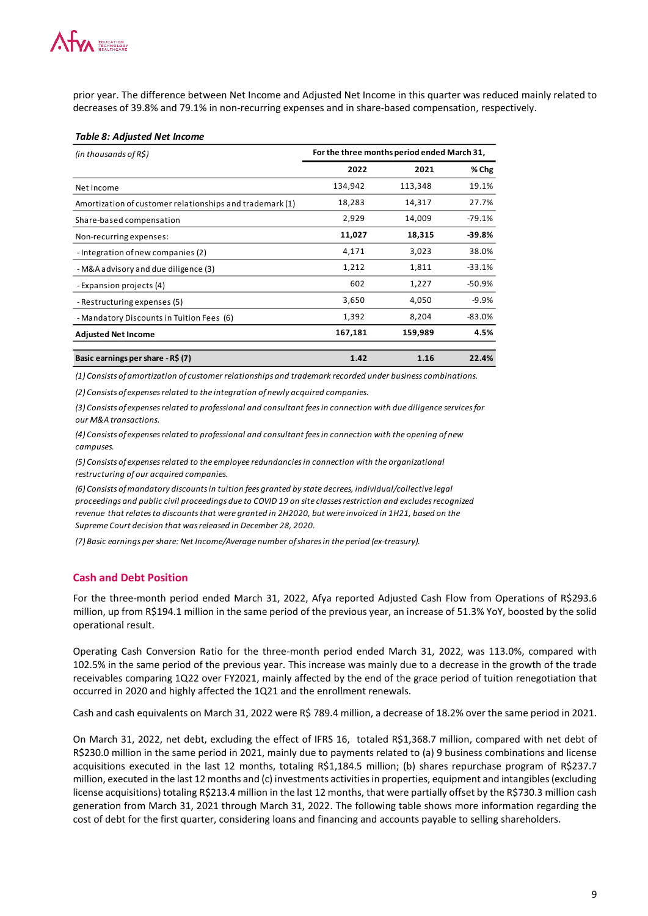prior year. The difference between Net Income and Adjusted Net Income in this quarter was reduced mainly related to decreases of 39.8% and 79.1% in non-recurring expenses and in share-based compensation, respectively.

#### *Table 8: Adjusted Net Income*

| (in thousands of $R\hat{S}$ )                            | For the three months period ended March 31, |         |          |
|----------------------------------------------------------|---------------------------------------------|---------|----------|
|                                                          | 2022                                        | 2021    | % Chg    |
| Net income                                               | 134,942                                     | 113,348 | 19.1%    |
| Amortization of customer relationships and trademark (1) | 18,283                                      | 14,317  | 27.7%    |
| Share-based compensation                                 | 2,929                                       | 14,009  | $-79.1%$ |
| Non-recurring expenses:                                  | 11,027                                      | 18,315  | $-39.8%$ |
| - Integration of new companies (2)                       | 4,171                                       | 3,023   | 38.0%    |
| - M&A advisory and due diligence (3)                     | 1,212                                       | 1,811   | $-33.1%$ |
| - Expansion projects (4)                                 | 602                                         | 1,227   | $-50.9%$ |
| - Restructuring expenses (5)                             | 3,650                                       | 4,050   | $-9.9%$  |
| - Mandatory Discounts in Tuition Fees (6)                | 1,392                                       | 8,204   | $-83.0%$ |
| <b>Adjusted Net Income</b>                               | 167,181                                     | 159,989 | 4.5%     |
| Basic earnings per share - R\$ (7)                       | 1.42                                        | 1.16    | 22.4%    |

*(1) Consists of amortization of customer relationships and trademark recorded under business combinations.*

*(2) Consists of expenses related to the integration of newly acquired companies.*

*(3) Consists of expenses related to professional and consultant fees in connection with due diligence services for our M&A transactions.*

*(4) Consists of expenses related to professional and consultant fees in connection with the opening of new campuses.*

*(5) Consists of expenses related to the employee redundancies in connection with the organizational restructuring of our acquired companies.*

*(6) Consists of mandatory discounts in tuition fees granted by state decrees, individual/collective legal proceedings and public civil proceedings due to COVID 19 on site classes restriction and excludes recognized revenue that relates to discounts that were granted in 2H2020, but were invoiced in 1H21, based on the Supreme Court decision that was released in December 28, 2020.* 

*(7) Basic earnings per share: Net Income/Average number of shares in the period (ex-treasury).*

## **Cash and Debt Position**

For the three-month period ended March 31, 2022, Afya reported Adjusted Cash Flow from Operations of R\$293.6 million, up from R\$194.1 million in the same period of the previous year, an increase of 51.3% YoY, boosted by the solid operational result.

Operating Cash Conversion Ratio for the three-month period ended March 31, 2022, was 113.0%, compared with 102.5% in the same period of the previous year. This increase was mainly due to a decrease in the growth of the trade receivables comparing 1Q22 over FY2021, mainly affected by the end of the grace period of tuition renegotiation that occurred in 2020 and highly affected the 1Q21 and the enrollment renewals.

Cash and cash equivalents on March 31, 2022 were R\$ 789.4 million, a decrease of 18.2% over the same period in 2021.

On March 31, 2022, net debt, excluding the effect of IFRS 16, totaled R\$1,368.7 million, compared with net debt of R\$230.0 million in the same period in 2021, mainly due to payments related to (a) 9 business combinations and license acquisitions executed in the last 12 months, totaling R\$1,184.5 million; (b) shares repurchase program of R\$237.7 million, executed in the last 12 months and (c) investments activities in properties, equipment and intangibles (excluding license acquisitions) totaling R\$213.4 million in the last 12 months, that were partially offset by the R\$730.3 million cash generation from March 31, 2021 through March 31, 2022. The following table shows more information regarding the cost of debt for the first quarter, considering loans and financing and accounts payable to selling shareholders.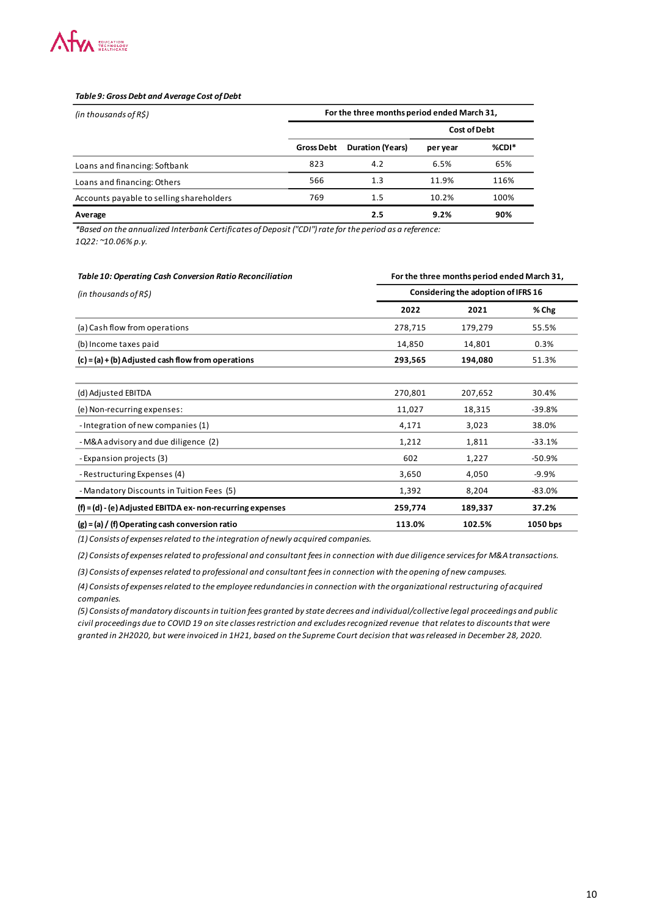

#### *Table 9: Gross Debt and Average Cost of Debt*

| (in thousands of $R\hat{S}$ )            |                   | For the three months period ended March 31, |                     |         |
|------------------------------------------|-------------------|---------------------------------------------|---------------------|---------|
|                                          |                   |                                             | <b>Cost of Debt</b> |         |
|                                          | <b>Gross Debt</b> | <b>Duration (Years)</b>                     | per year            | $%CDI*$ |
| Loans and financing: Softbank            | 823               | 4.2                                         | 6.5%                | 65%     |
| Loans and financing: Others              | 566               | 1.3                                         | 11.9%               | 116%    |
| Accounts payable to selling shareholders | 769               | 1.5                                         | 10.2%               | 100%    |
| Average                                  |                   | 2.5                                         | 9.2%                | 90%     |

*\*Based on the annualized Interbank Certificates of Deposit ("CDI") rate for the period as a reference: 1Q22: ~10.06% p.y.*

| Table 10: Operating Cash Conversion Ratio Reconciliation    |         | For the three months period ended March 31, |          |
|-------------------------------------------------------------|---------|---------------------------------------------|----------|
| (in thousands of $R\hat{S}$ )                               |         | Considering the adoption of IFRS 16         |          |
|                                                             | 2022    | 2021                                        | % Chg    |
| (a) Cash flow from operations                               | 278,715 | 179,279                                     | 55.5%    |
| (b) Income taxes paid                                       | 14,850  | 14,801                                      | 0.3%     |
| $(c) = (a) + (b)$ Adjusted cash flow from operations        | 293,565 | 194,080                                     | 51.3%    |
| (d) Adjusted EBITDA                                         | 270,801 | 207,652                                     | 30.4%    |
| (e) Non-recurring expenses:                                 | 11,027  | 18,315                                      | $-39.8%$ |
| -Integration of new companies (1)                           | 4,171   | 3,023                                       | 38.0%    |
| - M&A advisory and due diligence (2)                        | 1,212   | 1,811                                       | $-33.1%$ |
| - Expansion projects (3)                                    | 602     | 1,227                                       | $-50.9%$ |
| - Restructuring Expenses (4)                                | 3,650   | 4,050                                       | $-9.9%$  |
| - Mandatory Discounts in Tuition Fees (5)                   | 1,392   | 8,204                                       | $-83.0%$ |
| $(f) = (d) - (e)$ Adjusted EBITDA ex-non-recurring expenses | 259,774 | 189,337                                     | 37.2%    |
| $(g) = (a) / (f)$ Operating cash conversion ratio           | 113.0%  | 102.5%                                      | 1050 bps |

*(1) Consists of expenses related to the integration of newly acquired companies.* 

*(2) Consists of expenses related to professional and consultant fees in connection with due diligence services for M&A transactions.*

*(3) Consists of expenses related to professional and consultant fees in connection with the opening of new campuses.*

*(4) Consists of expenses related to the employee redundancies in connection with the organizational restructuring of acquired companies.*

*(5) Consists of mandatory discounts in tuition fees granted by state decrees and individual/collective legal proceedings and public civil proceedings due to COVID 19 on site classes restriction and excludes recognized revenue that relates to discounts that were granted in 2H2020, but were invoiced in 1H21, based on the Supreme Court decision that was released in December 28, 2020.*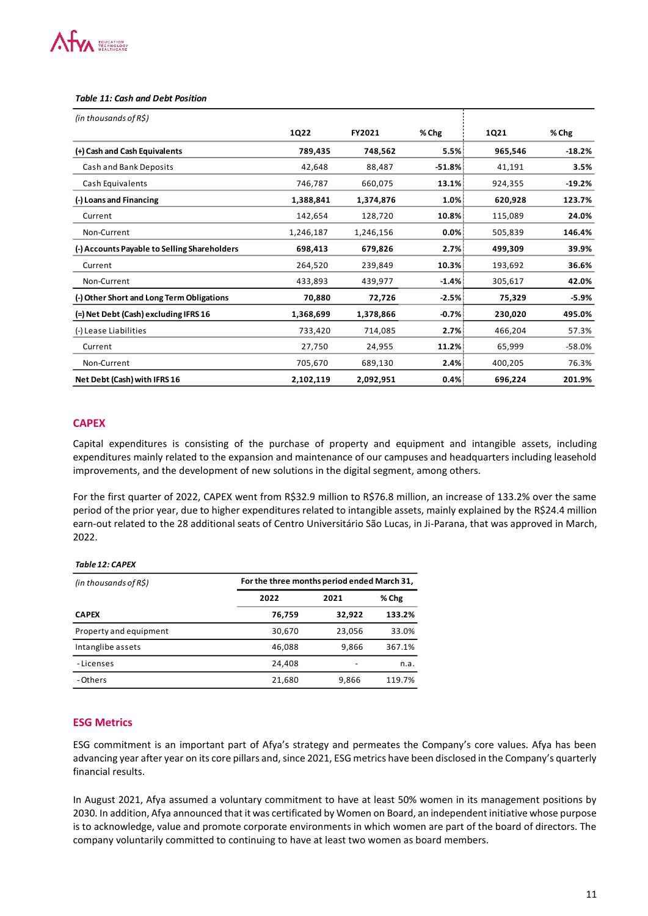# **WA EDUCATION**

| (+) Cash and Cash Equivalents                                                                                                                                                                                                                                                                                                                                                                                                                                                                                                                                                                                                                                                                                                                                                                                                                                                         | <b>1Q22</b>                                 | FY2021               |               | 1Q21               | % Chg              |
|---------------------------------------------------------------------------------------------------------------------------------------------------------------------------------------------------------------------------------------------------------------------------------------------------------------------------------------------------------------------------------------------------------------------------------------------------------------------------------------------------------------------------------------------------------------------------------------------------------------------------------------------------------------------------------------------------------------------------------------------------------------------------------------------------------------------------------------------------------------------------------------|---------------------------------------------|----------------------|---------------|--------------------|--------------------|
|                                                                                                                                                                                                                                                                                                                                                                                                                                                                                                                                                                                                                                                                                                                                                                                                                                                                                       | 789,435                                     | 748,562              | % Chg<br>5.5% | 965,546            | $-18.2%$           |
| Cash and Bank Deposits                                                                                                                                                                                                                                                                                                                                                                                                                                                                                                                                                                                                                                                                                                                                                                                                                                                                | 42,648                                      | 88,487               | $-51.8%$      | 41,191             | 3.5%               |
| Cash Equivalents                                                                                                                                                                                                                                                                                                                                                                                                                                                                                                                                                                                                                                                                                                                                                                                                                                                                      | 746,787                                     |                      |               |                    |                    |
|                                                                                                                                                                                                                                                                                                                                                                                                                                                                                                                                                                                                                                                                                                                                                                                                                                                                                       |                                             | 660,075              | 13.1%<br>1.0% | 924,355<br>620,928 | $-19.2%$<br>123.7% |
| (-) Loans and Financing<br>Current                                                                                                                                                                                                                                                                                                                                                                                                                                                                                                                                                                                                                                                                                                                                                                                                                                                    | 1,388,841                                   | 1,374,876            |               | 115,089            | 24.0%              |
| Non-Current                                                                                                                                                                                                                                                                                                                                                                                                                                                                                                                                                                                                                                                                                                                                                                                                                                                                           | 142,654                                     | 128,720              | 10.8%<br>0.0% |                    | 146.4%             |
| (-) Accounts Payable to Selling Shareholders                                                                                                                                                                                                                                                                                                                                                                                                                                                                                                                                                                                                                                                                                                                                                                                                                                          | 1,246,187<br>698,413                        | 1,246,156<br>679,826 | 2.7%          | 505,839<br>499,309 | 39.9%              |
| Current                                                                                                                                                                                                                                                                                                                                                                                                                                                                                                                                                                                                                                                                                                                                                                                                                                                                               | 264,520                                     | 239,849              | 10.3%         | 193,692            | 36.6%              |
| Non-Current                                                                                                                                                                                                                                                                                                                                                                                                                                                                                                                                                                                                                                                                                                                                                                                                                                                                           | 433,893                                     | 439,977              | $-1.4%$       | 305,617            | 42.0%              |
| (-) Other Short and Long Term Obligations                                                                                                                                                                                                                                                                                                                                                                                                                                                                                                                                                                                                                                                                                                                                                                                                                                             | 70,880                                      | 72,726               | $-2.5%$       | 75,329             | -5.9%              |
| (=) Net Debt (Cash) excluding IFRS 16                                                                                                                                                                                                                                                                                                                                                                                                                                                                                                                                                                                                                                                                                                                                                                                                                                                 | 1,368,699                                   | 1,378,866            | $-0.7%$       | 230,020            | 495.0%             |
| (-) Lease Liabilities                                                                                                                                                                                                                                                                                                                                                                                                                                                                                                                                                                                                                                                                                                                                                                                                                                                                 | 733,420                                     | 714,085              | 2.7%          | 466,204            | 57.3%              |
| Current                                                                                                                                                                                                                                                                                                                                                                                                                                                                                                                                                                                                                                                                                                                                                                                                                                                                               | 27,750                                      | 24,955               | 11.2%         | 65,999             | -58.0%             |
|                                                                                                                                                                                                                                                                                                                                                                                                                                                                                                                                                                                                                                                                                                                                                                                                                                                                                       |                                             |                      |               |                    | 76.3%              |
|                                                                                                                                                                                                                                                                                                                                                                                                                                                                                                                                                                                                                                                                                                                                                                                                                                                                                       |                                             |                      |               |                    |                    |
| Non-Current                                                                                                                                                                                                                                                                                                                                                                                                                                                                                                                                                                                                                                                                                                                                                                                                                                                                           | 705,670<br>2,102,119                        | 689,130<br>2,092,951 | 2.4%<br>0.4%  | 400,205<br>696,224 | 201.9%             |
|                                                                                                                                                                                                                                                                                                                                                                                                                                                                                                                                                                                                                                                                                                                                                                                                                                                                                       |                                             |                      |               |                    |                    |
|                                                                                                                                                                                                                                                                                                                                                                                                                                                                                                                                                                                                                                                                                                                                                                                                                                                                                       | For the three months period ended March 31, |                      |               |                    |                    |
|                                                                                                                                                                                                                                                                                                                                                                                                                                                                                                                                                                                                                                                                                                                                                                                                                                                                                       | 2022<br>2021                                | % Chg                |               |                    |                    |
|                                                                                                                                                                                                                                                                                                                                                                                                                                                                                                                                                                                                                                                                                                                                                                                                                                                                                       | 76,759                                      | 133.2%<br>32,922     |               |                    |                    |
|                                                                                                                                                                                                                                                                                                                                                                                                                                                                                                                                                                                                                                                                                                                                                                                                                                                                                       | 30,670                                      | 33.0%<br>23,056      |               |                    |                    |
| Net Debt (Cash) with IFRS 16<br><b>CAPEX</b><br>Capital expenditures is consisting of the purchase of property and equipment and intangible assets, including<br>expenditures mainly related to the expansion and maintenance of our campuses and headquarters including leasehold<br>improvements, and the development of new solutions in the digital segment, among others.<br>For the first quarter of 2022, CAPEX went from R\$32.9 million to R\$76.8 million, an increase of 133.2% over the same<br>period of the prior year, due to higher expenditures related to intangible assets, mainly explained by the R\$24.4 millior<br>earn-out related to the 28 additional seats of Centro Universitário São Lucas, in Ji-Parana, that was approved in March<br>2022.<br>Table 12: CAPEX<br>(in thousands of R\$)<br><b>CAPEX</b><br>Property and equipment<br>Intanglibe assets | 46,088                                      | 9,866<br>367.1%      |               |                    |                    |
| - Licenses                                                                                                                                                                                                                                                                                                                                                                                                                                                                                                                                                                                                                                                                                                                                                                                                                                                                            | 24,408                                      |                      | n.a.          |                    |                    |

# **CAPEX**

#### *Table 12: CAPEX*

| (in thousands of $R\hat{S}$ ) | For the three months period ended March 31, |        |        |
|-------------------------------|---------------------------------------------|--------|--------|
|                               | 2022                                        | 2021   | % Chg  |
| <b>CAPEX</b>                  | 76,759                                      | 32,922 | 133.2% |
| Property and equipment        | 30,670                                      | 23,056 | 33.0%  |
| Intanglibe assets             | 46,088                                      | 9,866  | 367.1% |
| -Licenses                     | 24.408                                      |        | n.a.   |
| - Others                      | 21,680                                      | 9,866  | 119.7% |

## **ESG Metrics**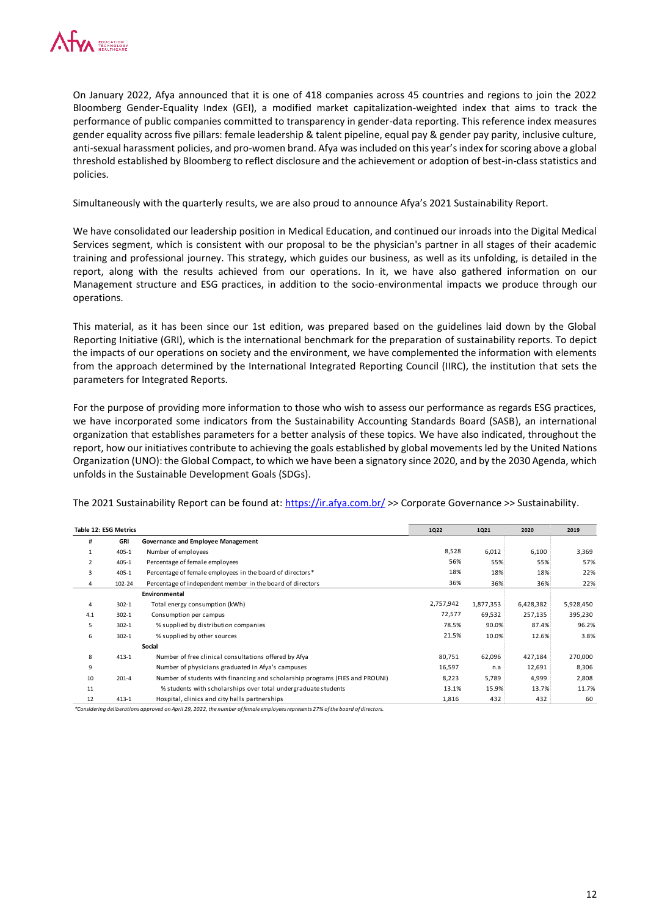

On January 2022, Afya announced that it is one of 418 companies across 45 countries and regions to join the 2022 Bloomberg Gender-Equality Index (GEI), a modified market capitalization-weighted index that aims to track the performance of public companies committed to transparency in gender-data reporting. This reference index measures gender equality across five pillars: female leadership & talent pipeline, equal pay & gender pay parity, inclusive culture, anti-sexual harassment policies, and pro-women brand. Afya was included on this year's index for scoring above a global threshold established by Bloomberg to reflect disclosure and the achievement or adoption of best-in-class statistics and policies.

Simultaneously with the quarterly results, we are also proud to announce Afya's 2021 Sustainability Report.

We have consolidated our leadership position in Medical Education, and continued our inroads into the Digital Medical Services segment, which is consistent with our proposal to be the physician's partner in all stages of their academic training and professional journey. This strategy, which guides our business, as well as its unfolding, is detailed in the report, along with the results achieved from our operations. In it, we have also gathered information on our Management structure and ESG practices, in addition to the socio-environmental impacts we produce through our operations.

This material, as it has been since our 1st edition, was prepared based on the guidelines laid down by the Global Reporting Initiative (GRI), which is the international benchmark for the preparation of sustainability reports. To depict the impacts of our operations on society and the environment, we have complemented the information with elements from the approach determined by the International Integrated Reporting Council (IIRC), the institution that sets the parameters for Integrated Reports.

For the purpose of providing more information to those who wish to assess our performance as regards ESG practices, we have incorporated some indicators from the Sustainability Accounting Standards Board (SASB), an international organization that establishes parameters for a better analysis of these topics. We have also indicated, throughout the report, how our initiatives contribute to achieving the goals established by global movements led by the United Nations Organization (UNO): the Global Compact, to which we have been a signatory since 2020, and by the 2030 Agenda, which unfolds in the Sustainable Development Goals (SDGs).

The 2021 Sustainability Report can be found at:<https://ir.afya.com.br/> >> Corporate Governance >> Sustainability.

|                | Table 12: ESG Metrics |                                                                              | 1Q22      | 1Q21      | 2020      | 2019      |
|----------------|-----------------------|------------------------------------------------------------------------------|-----------|-----------|-----------|-----------|
| #              | GRI                   | Governance and Employee Management                                           |           |           |           |           |
| $\mathbf{1}$   | $405 - 1$             | Number of employees                                                          | 8,528     | 6,012     | 6,100     | 3,369     |
| $\overline{2}$ | $405 - 1$             | Percentage of female employees                                               | 56%       | 55%       | 55%       | 57%       |
| 3              | $405 - 1$             | Percentage of female employees in the board of directors*                    | 18%       | 18%       | 18%       | 22%       |
| 4              | 102-24                | Percentage of independent member in the board of directors                   | 36%       | 36%       | 36%       | 22%       |
|                |                       | Environmental                                                                |           |           |           |           |
| $\overline{4}$ | $302 - 1$             | Total energy consumption (kWh)                                               | 2,757,942 | 1,877,353 | 6,428,382 | 5,928,450 |
| 4.1            | $302 - 1$             | Consumption per campus                                                       | 72,577    | 69,532    | 257,135   | 395,230   |
| 5              | $302 - 1$             | % supplied by distribution companies                                         | 78.5%     | 90.0%     | 87.4%     | 96.2%     |
| 6              | $302 - 1$             | % supplied by other sources                                                  | 21.5%     | 10.0%     | 12.6%     | 3.8%      |
|                |                       | Social                                                                       |           |           |           |           |
| 8              | $413 - 1$             | Number of free clinical consultations offered by Afya                        | 80,751    | 62,096    | 427,184   | 270,000   |
| 9              |                       | Number of physicians graduated in Afya's campuses                            | 16,597    | n.a       | 12,691    | 8,306     |
| 10             | $201 - 4$             | Number of students with financing and scholarship programs (FIES and PROUNI) | 8,223     | 5,789     | 4,999     | 2,808     |
| 11             |                       | % students with scholarships over total undergraduate students               | 13.1%     | 15.9%     | 13.7%     | 11.7%     |
| 12             | $413 - 1$             | Hospital, clinics and city halls partnerships                                | 1,816     | 432       | 432       | 60        |
|                |                       |                                                                              |           |           |           |           |

*\*Considering deliberations approved on April 29, 2022, the number of female employees represents 27% of the board of directors.*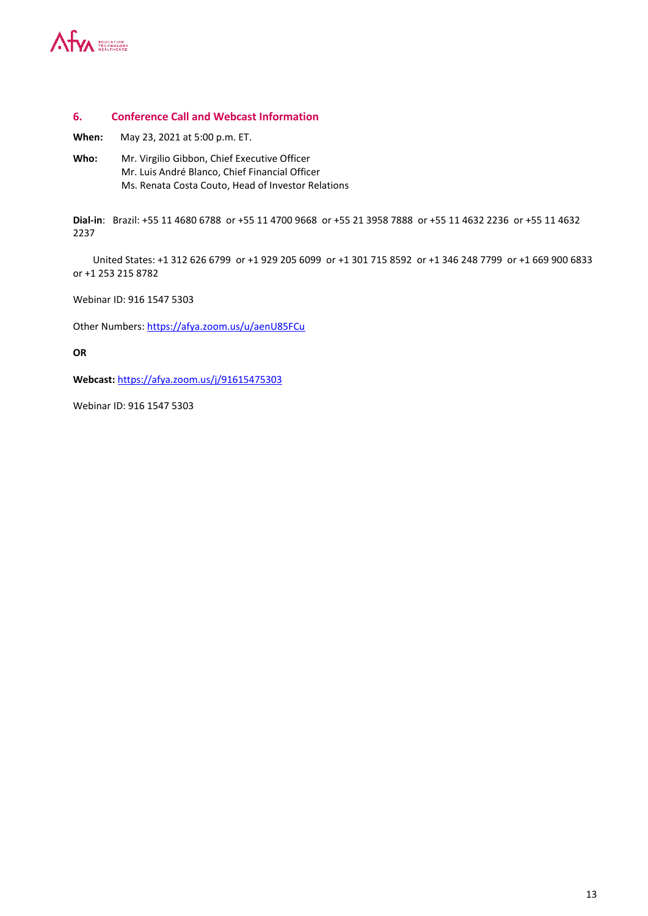

#### **6. Conference Call and Webcast Information**

**When:** May 23, 2021 at 5:00 p.m. ET.

**Who:** Mr. Virgilio Gibbon, Chief Executive Officer Mr. Luis André Blanco, Chief Financial Officer Ms. Renata Costa Couto, Head of Investor Relations

**Dial-in**: Brazil: +55 11 4680 6788 or +55 11 4700 9668 or +55 21 3958 7888 or +55 11 4632 2236 or +55 11 4632 2237

United States: +1 312 626 6799 or +1 929 205 6099 or +1 301 715 8592 or +1 346 248 7799 or +1 669 900 6833 or +1 253 215 8782

Webinar ID: 916 1547 5303

Other Numbers: <https://afya.zoom.us/u/aenU85FCu>

**OR** 

**Webcast:** <https://afya.zoom.us/j/91615475303>

Webinar ID: 916 1547 5303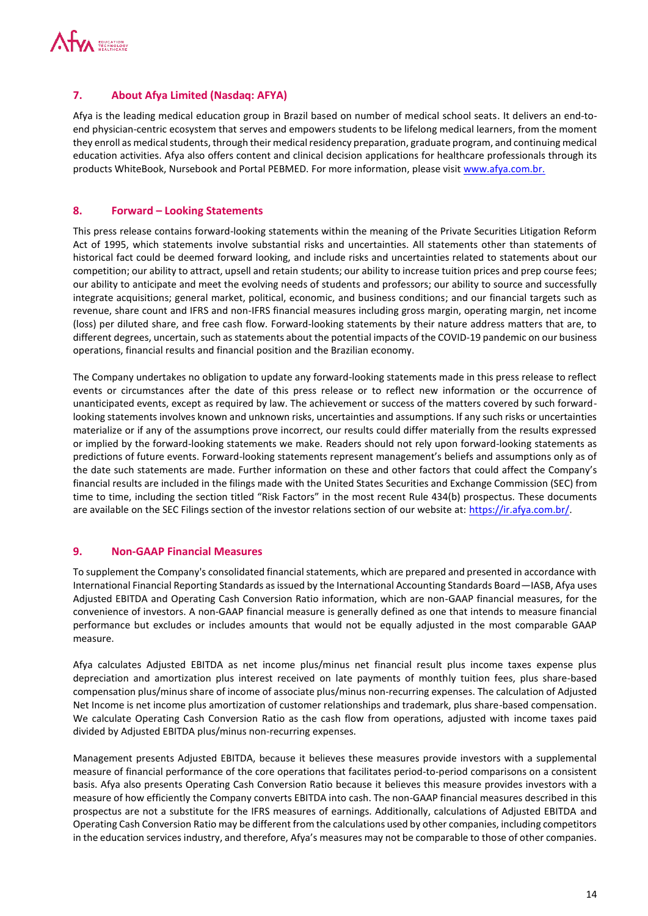

# **7. About Afya Limited (Nasdaq: AFYA)**

Afya is the leading medical education group in Brazil based on number of medical school seats. It delivers an end-toend physician-centric ecosystem that serves and empowers students to be lifelong medical learners, from the moment they enroll as medical students, through their medical residency preparation, graduate program, and continuing medical education activities. Afya also offers content and clinical decision applications for healthcare professionals through its products WhiteBook, Nursebook and Portal PEBMED. For more information, please visit [www.afya.com.br.](http://www.afya.com.br/)

## **8. Forward – Looking Statements**

This press release contains forward-looking statements within the meaning of the Private Securities Litigation Reform Act of 1995, which statements involve substantial risks and uncertainties. All statements other than statements of historical fact could be deemed forward looking, and include risks and uncertainties related to statements about our competition; our ability to attract, upsell and retain students; our ability to increase tuition prices and prep course fees; our ability to anticipate and meet the evolving needs of students and professors; our ability to source and successfully integrate acquisitions; general market, political, economic, and business conditions; and our financial targets such as revenue, share count and IFRS and non-IFRS financial measures including gross margin, operating margin, net income (loss) per diluted share, and free cash flow. Forward-looking statements by their nature address matters that are, to different degrees, uncertain, such as statements about the potential impacts of the COVID-19 pandemic on our business operations, financial results and financial position and the Brazilian economy.

The Company undertakes no obligation to update any forward-looking statements made in this press release to reflect events or circumstances after the date of this press release or to reflect new information or the occurrence of unanticipated events, except as required by law. The achievement or success of the matters covered by such forwardlooking statements involves known and unknown risks, uncertainties and assumptions. If any such risks or uncertainties materialize or if any of the assumptions prove incorrect, our results could differ materially from the results expressed or implied by the forward-looking statements we make. Readers should not rely upon forward-looking statements as predictions of future events. Forward-looking statements represent management's beliefs and assumptions only as of the date such statements are made. Further information on these and other factors that could affect the Company's financial results are included in the filings made with the United States Securities and Exchange Commission (SEC) from time to time, including the section titled "Risk Factors" in the most recent Rule 434(b) prospectus. These documents are available on the SEC Filings section of the investor relations section of our website at: [https://ir.afya.com.br/.](https://ir.afya.com.br/)

## **9. Non-GAAP Financial Measures**

To supplement the Company's consolidated financial statements, which are prepared and presented in accordance with International Financial Reporting Standards as issued by the International Accounting Standards Board—IASB, Afya uses Adjusted EBITDA and Operating Cash Conversion Ratio information, which are non-GAAP financial measures, for the convenience of investors. A non-GAAP financial measure is generally defined as one that intends to measure financial performance but excludes or includes amounts that would not be equally adjusted in the most comparable GAAP measure.

Afya calculates Adjusted EBITDA as net income plus/minus net financial result plus income taxes expense plus depreciation and amortization plus interest received on late payments of monthly tuition fees, plus share-based compensation plus/minus share of income of associate plus/minus non-recurring expenses. The calculation of Adjusted Net Income is net income plus amortization of customer relationships and trademark, plus share-based compensation. We calculate Operating Cash Conversion Ratio as the cash flow from operations, adjusted with income taxes paid divided by Adjusted EBITDA plus/minus non-recurring expenses.

Management presents Adjusted EBITDA, because it believes these measures provide investors with a supplemental measure of financial performance of the core operations that facilitates period-to-period comparisons on a consistent basis. Afya also presents Operating Cash Conversion Ratio because it believes this measure provides investors with a measure of how efficiently the Company converts EBITDA into cash. The non-GAAP financial measures described in this prospectus are not a substitute for the IFRS measures of earnings. Additionally, calculations of Adjusted EBITDA and Operating Cash Conversion Ratio may be different from the calculations used by other companies, including competitors in the education services industry, and therefore, Afya's measures may not be comparable to those of other companies.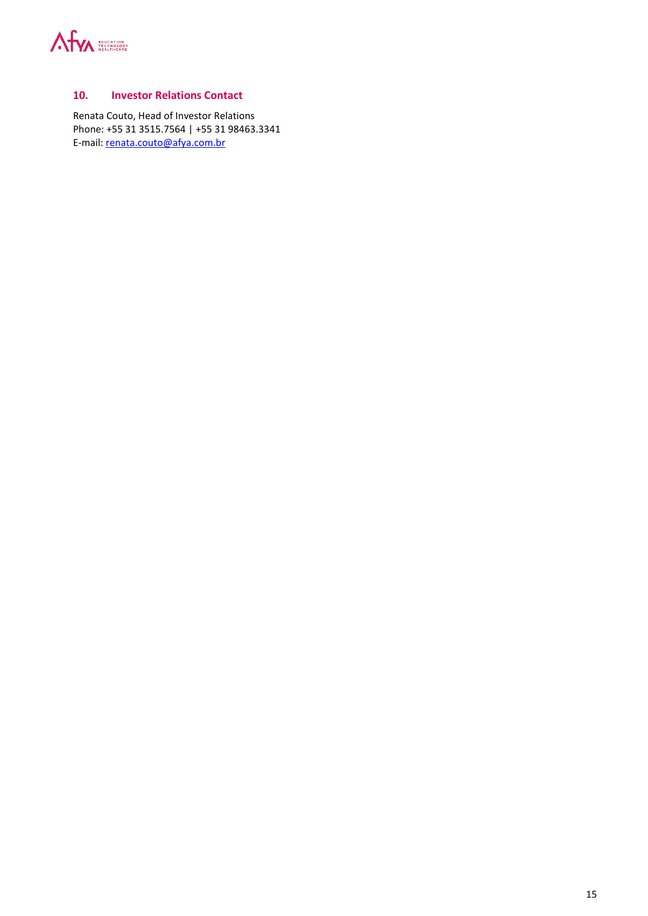

## **10. Investor Relations Contact**

Renata Couto, Head of Investor Relations Phone: +55 31 3515.7564 | +55 31 98463.3341 E-mail: [renata.couto@afya.com.br](mailto:renata.couto@afya.com.br)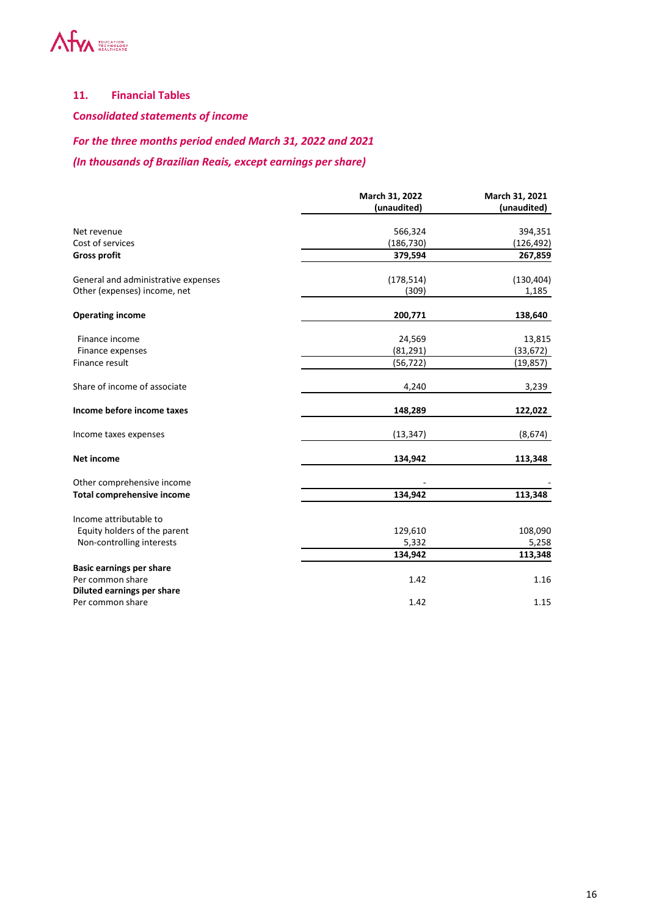

# **11. Financial Tables**

**C***onsolidated statements of income* 

# *For the three months period ended March 31, 2022 and 2021*

*(In thousands of Brazilian Reais, except earnings per share)*

|                                     | March 31, 2022<br>(unaudited) | March 31, 2021<br>(unaudited) |
|-------------------------------------|-------------------------------|-------------------------------|
|                                     |                               |                               |
| Net revenue                         | 566,324                       | 394,351                       |
| Cost of services                    | (186,730)                     | (126,492)                     |
| <b>Gross profit</b>                 | 379,594                       | 267,859                       |
| General and administrative expenses | (178, 514)                    | (130, 404)                    |
| Other (expenses) income, net        | (309)                         | 1,185                         |
| <b>Operating income</b>             | 200,771                       | 138,640                       |
| Finance income                      | 24,569                        | 13,815                        |
| Finance expenses                    | (81, 291)                     | (33, 672)                     |
| Finance result                      | (56, 722)                     | (19, 857)                     |
| Share of income of associate        | 4,240                         | 3,239                         |
| Income before income taxes          | 148,289                       | 122,022                       |
| Income taxes expenses               | (13, 347)                     | (8,674)                       |
| <b>Net income</b>                   | 134,942                       | 113,348                       |
| Other comprehensive income          |                               |                               |
| <b>Total comprehensive income</b>   | 134,942                       | 113,348                       |
| Income attributable to              |                               |                               |
| Equity holders of the parent        | 129,610                       | 108,090                       |
| Non-controlling interests           | 5,332                         | 5,258                         |
|                                     | 134,942                       | 113,348                       |
| <b>Basic earnings per share</b>     |                               |                               |
| Per common share                    | 1.42                          | 1.16                          |
| Diluted earnings per share          |                               |                               |
| Per common share                    | 1.42                          | 1.15                          |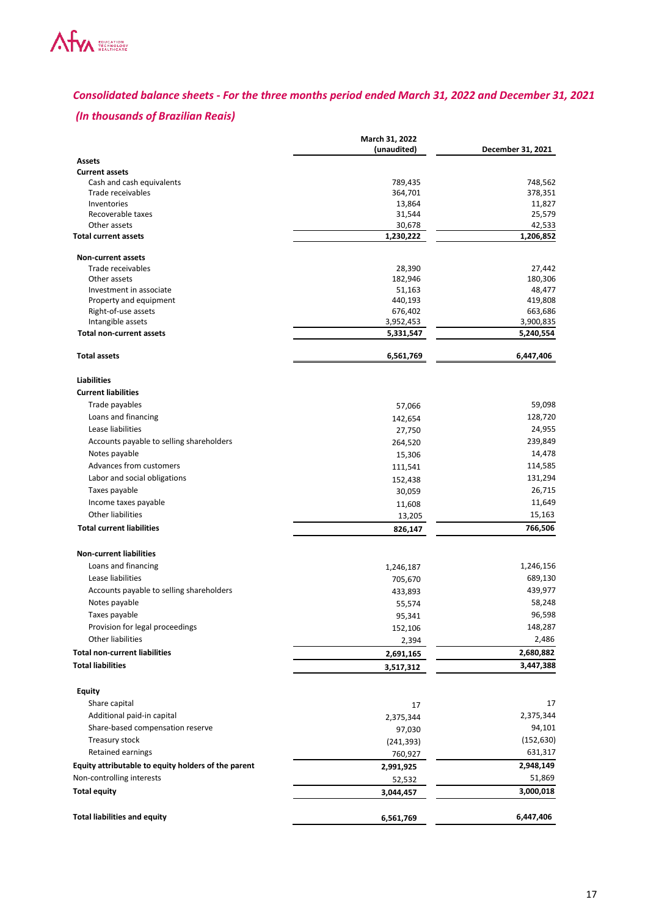

# *Consolidated balance sheets - For the three months period ended March 31, 2022 and December 31, 2021*

# *(In thousands of Brazilian Reais)*

|                                                     | March 31, 2022    |                     |
|-----------------------------------------------------|-------------------|---------------------|
|                                                     | (unaudited)       | December 31, 2021   |
| Assets                                              |                   |                     |
| <b>Current assets</b>                               |                   |                     |
| Cash and cash equivalents<br>Trade receivables      | 789,435           | 748,562<br>378,351  |
| Inventories                                         | 364,701<br>13,864 | 11,827              |
| Recoverable taxes                                   | 31,544            | 25,579              |
| Other assets                                        | 30,678            | 42,533              |
| <b>Total current assets</b>                         | 1,230,222         | 1,206,852           |
| Non-current assets                                  |                   |                     |
| Trade receivables                                   | 28,390            | 27,442              |
| Other assets                                        | 182,946           | 180,306             |
| Investment in associate                             | 51,163            | 48,477              |
| Property and equipment                              | 440,193           | 419,808             |
| Right-of-use assets                                 | 676,402           | 663,686             |
| Intangible assets                                   | 3,952,453         | 3,900,835           |
| <b>Total non-current assets</b>                     | 5,331,547         | 5,240,554           |
| <b>Total assets</b>                                 | 6,561,769         | 6,447,406           |
| <b>Liabilities</b>                                  |                   |                     |
| <b>Current liabilities</b>                          |                   |                     |
| Trade payables                                      | 57,066            | 59,098              |
| Loans and financing                                 | 142,654           | 128,720             |
| Lease liabilities                                   | 27,750            | 24,955              |
| Accounts payable to selling shareholders            | 264,520           | 239,849             |
| Notes payable                                       | 15,306            | 14,478              |
| Advances from customers                             | 111,541           | 114,585             |
| Labor and social obligations                        | 152,438           | 131,294             |
| Taxes payable                                       | 30,059            | 26,715              |
| Income taxes payable                                | 11,608            | 11,649              |
| Other liabilities                                   | 13,205            | 15,163              |
| <b>Total current liabilities</b>                    | 826,147           | 766,506             |
| <b>Non-current liabilities</b>                      |                   |                     |
| Loans and financing                                 | 1,246,187         | 1,246,156           |
| Lease liabilities                                   | 705,670           | 689,130             |
| Accounts payable to selling shareholders            | 433,893           | 439,977             |
| Notes payable                                       | 55,574            | 58,248              |
| Taxes payable                                       | 95,341            | 96,598              |
| Provision for legal proceedings                     | 152,106           | 148,287             |
| Other liabilities                                   | 2,394             | 2,486               |
| <b>Total non-current liabilities</b>                | 2,691,165         | 2,680,882           |
| <b>Total liabilities</b>                            | 3,517,312         | 3,447,388           |
| <b>Equity</b>                                       |                   |                     |
| Share capital                                       | 17                | 17                  |
| Additional paid-in capital                          |                   | 2,375,344           |
| Share-based compensation reserve                    | 2,375,344         | 94,101              |
| Treasury stock                                      | 97,030            | (152, 630)          |
| Retained earnings                                   | (241, 393)        |                     |
|                                                     | 760,927           | 631,317             |
| Equity attributable to equity holders of the parent | 2,991,925         | 2,948,149           |
| Non-controlling interests<br><b>Total equity</b>    | 52,532            | 51,869<br>3,000,018 |
|                                                     | 3,044,457         |                     |
| <b>Total liabilities and equity</b>                 | 6,561,769         | 6,447,406           |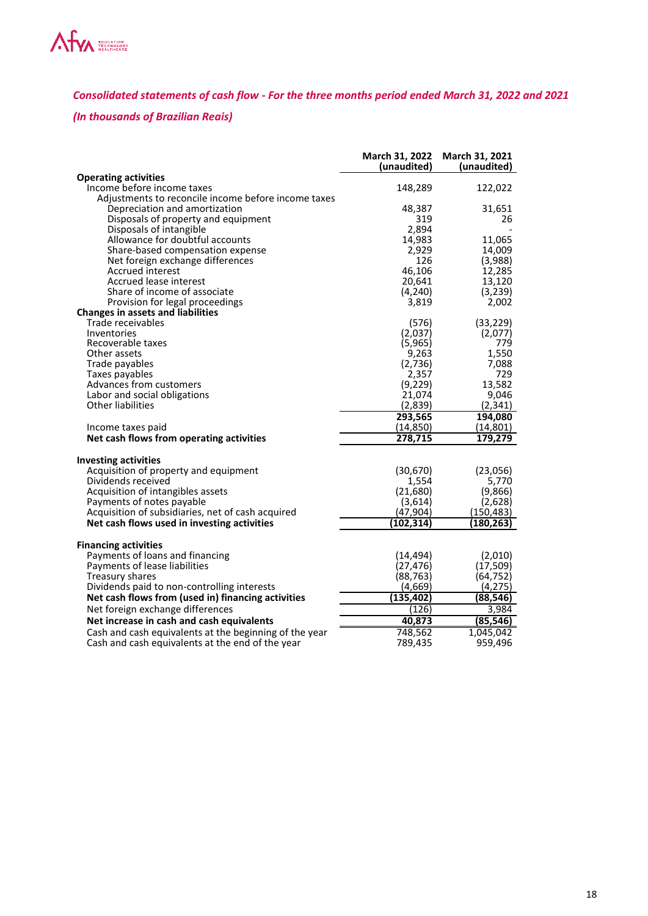

*Consolidated statements of cash flow - For the three months period ended March 31, 2022 and 2021* 

# *(In thousands of Brazilian Reais)*

|                                                        | March 31, 2022<br>(unaudited) | March 31, 2021<br>(unaudited) |
|--------------------------------------------------------|-------------------------------|-------------------------------|
| <b>Operating activities</b>                            |                               |                               |
| Income before income taxes                             | 148,289                       | 122,022                       |
| Adjustments to reconcile income before income taxes    |                               |                               |
| Depreciation and amortization                          | 48,387                        | 31,651                        |
| Disposals of property and equipment                    | 319                           | 26                            |
| Disposals of intangible                                | 2,894                         |                               |
| Allowance for doubtful accounts                        | 14,983                        | 11,065                        |
| Share-based compensation expense                       | 2,929                         | 14,009                        |
| Net foreign exchange differences                       | 126                           | (3,988)                       |
| Accrued interest                                       | 46,106                        | 12,285                        |
| Accrued lease interest                                 | 20,641                        | 13,120                        |
| Share of income of associate                           | (4, 240)                      | (3,239)                       |
| Provision for legal proceedings                        | 3,819                         | 2,002                         |
| <b>Changes in assets and liabilities</b>               |                               |                               |
| Trade receivables                                      | (576)                         | (33, 229)                     |
| Inventories                                            | (2,037)                       | (2,077)                       |
| Recoverable taxes                                      | (5,965)                       | 779                           |
| Other assets                                           | 9,263                         | 1,550                         |
| Trade payables                                         | (2,736)                       | 7,088                         |
| Taxes payables                                         | 2,357                         | 729                           |
| Advances from customers                                | (9,229)                       | 13,582                        |
| Labor and social obligations                           | 21,074                        | 9,046                         |
| <b>Other liabilities</b>                               | (2,839)                       | (2, 341)                      |
|                                                        | 293,565                       | 194,080                       |
| Income taxes paid                                      | (14, 850)                     | (14, 801)                     |
| Net cash flows from operating activities               | 278,715                       | 179,279                       |
|                                                        |                               |                               |
| <b>Investing activities</b>                            |                               |                               |
| Acquisition of property and equipment                  | (30, 670)                     | (23,056)                      |
| Dividends received                                     | 1,554                         | 5,770                         |
| Acquisition of intangibles assets                      | (21,680)                      | (9,866)                       |
| Payments of notes payable                              | (3,614)                       | (2,628)                       |
| Acquisition of subsidiaries, net of cash acquired      | (47, 904)                     | (150, 483)                    |
| Net cash flows used in investing activities            | (102, 314)                    | (180, 263)                    |
|                                                        |                               |                               |
| <b>Financing activities</b>                            |                               |                               |
| Payments of loans and financing                        | (14, 494)                     | (2,010)                       |
| Payments of lease liabilities                          | (27, 476)                     | (17, 509)                     |
| Treasury shares                                        | (88, 763)                     | (64, 752)                     |
| Dividends paid to non-controlling interests            | (4,669)                       | (4, 275)                      |
|                                                        |                               |                               |
| Net cash flows from (used in) financing activities     | (135,402)                     | (88,546)                      |
| Net foreign exchange differences                       | (126)                         | 3,984                         |
| Net increase in cash and cash equivalents              | 40,873                        | (85,546)                      |
| Cash and cash equivalents at the beginning of the year | 748,562                       | 1,045,042                     |
| Cash and cash equivalents at the end of the year       | 789,435                       | 959,496                       |